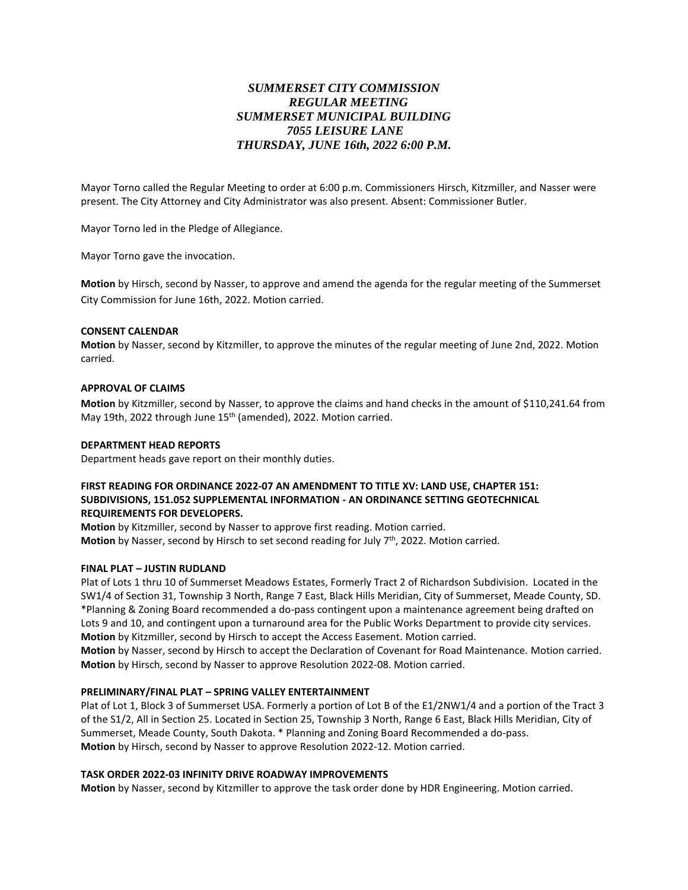# *SUMMERSET CITY COMMISSION REGULAR MEETING SUMMERSET MUNICIPAL BUILDING 7055 LEISURE LANE THURSDAY, JUNE 16th, 2022 6:00 P.M.*

Mayor Torno called the Regular Meeting to order at 6:00 p.m. Commissioners Hirsch, Kitzmiller, and Nasser were present. The City Attorney and City Administrator was also present. Absent: Commissioner Butler.

Mayor Torno led in the Pledge of Allegiance.

Mayor Torno gave the invocation.

**Motion** by Hirsch, second by Nasser, to approve and amend the agenda for the regular meeting of the Summerset City Commission for June 16th, 2022. Motion carried.

#### **CONSENT CALENDAR**

**Motion** by Nasser, second by Kitzmiller, to approve the minutes of the regular meeting of June 2nd, 2022. Motion carried.

#### **APPROVAL OF CLAIMS**

**Motion** by Kitzmiller, second by Nasser, to approve the claims and hand checks in the amount of \$110,241.64 from May 19th, 2022 through June 15<sup>th</sup> (amended), 2022. Motion carried.

#### **DEPARTMENT HEAD REPORTS**

Department heads gave report on their monthly duties.

# **FIRST READING FOR ORDINANCE 2022-07 AN AMENDMENT TO TITLE XV: LAND USE, CHAPTER 151: SUBDIVISIONS, 151.052 SUPPLEMENTAL INFORMATION - AN ORDINANCE SETTING GEOTECHNICAL REQUIREMENTS FOR DEVELOPERS.**

**Motion** by Kitzmiller, second by Nasser to approve first reading. Motion carried. **Motion** by Nasser, second by Hirsch to set second reading for July 7<sup>th</sup>, 2022. Motion carried.

### **FINAL PLAT – JUSTIN RUDLAND**

Plat of Lots 1 thru 10 of Summerset Meadows Estates, Formerly Tract 2 of Richardson Subdivision. Located in the SW1/4 of Section 31, Township 3 North, Range 7 East, Black Hills Meridian, City of Summerset, Meade County, SD. \*Planning & Zoning Board recommended a do-pass contingent upon a maintenance agreement being drafted on Lots 9 and 10, and contingent upon a turnaround area for the Public Works Department to provide city services. **Motion** by Kitzmiller, second by Hirsch to accept the Access Easement. Motion carried. **Motion** by Nasser, second by Hirsch to accept the Declaration of Covenant for Road Maintenance. Motion carried.

**Motion** by Hirsch, second by Nasser to approve Resolution 2022-08. Motion carried.

## **PRELIMINARY/FINAL PLAT – SPRING VALLEY ENTERTAINMENT**

Plat of Lot 1, Block 3 of Summerset USA. Formerly a portion of Lot B of the E1/2NW1/4 and a portion of the Tract 3 of the S1/2, All in Section 25. Located in Section 25, Township 3 North, Range 6 East, Black Hills Meridian, City of Summerset, Meade County, South Dakota. \* Planning and Zoning Board Recommended a do-pass. **Motion** by Hirsch, second by Nasser to approve Resolution 2022-12. Motion carried.

### **TASK ORDER 2022-03 INFINITY DRIVE ROADWAY IMPROVEMENTS**

**Motion** by Nasser, second by Kitzmiller to approve the task order done by HDR Engineering. Motion carried.